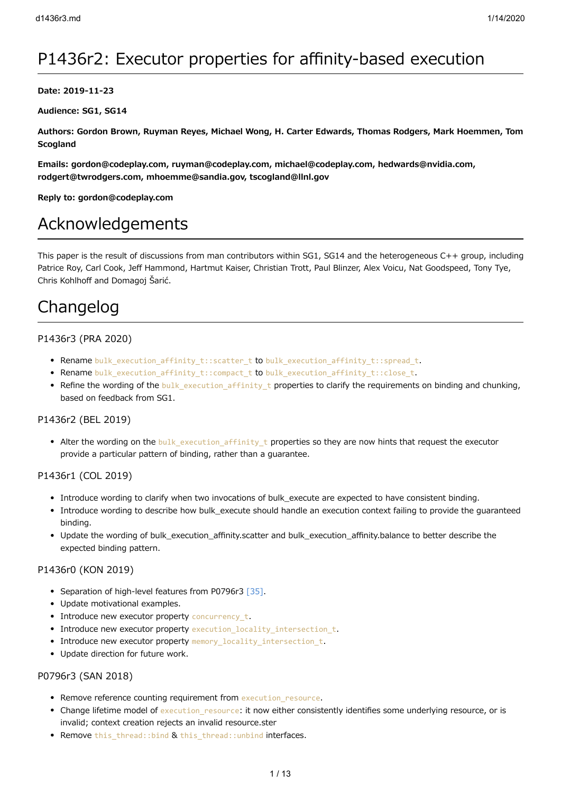# P1436r2: Executor properties for affinity-based execution

#### **Date: 2019-11-23**

**Audience: SG1, SG14**

**Authors: Gordon Brown, Ruyman Reyes, Michael Wong, H. Carter Edwards, Thomas Rodgers, Mark Hoemmen, Tom Scogland**

**Emails: gordon@codeplay.com, ruyman@codeplay.com, michael@codeplay.com, hedwards@nvidia.com, rodgert@twrodgers.com, mhoemme@sandia.gov, tscogland@llnl.gov**

**Reply to: gordon@codeplay.com**

# Acknowledgements

This paper is the result of discussions from man contributors within SG1, SG14 and the heterogeneous C++ group, including Patrice Roy, Carl Cook, Jeff Hammond, Hartmut Kaiser, Christian Trott, Paul Blinzer, Alex Voicu, Nat Goodspeed, Tony Tye, Chris Kohlhoff and Domagoj Šarić.

# Changelog

## P1436r3 (PRA 2020)

- Rename bulk execution affinity t::scatter t to bulk execution affinity t::spread t.
- Rename bulk\_execution\_affinity\_t::compact\_t to bulk\_execution\_affinity\_t::close\_t.
- Refine the wording of the bulk execution affinity t properties to clarify the requirements on binding and chunking, based on feedback from SG1.

## P1436r2 (BEL 2019)

• Alter the wording on the bulk\_execution\_affinity\_t properties so they are now hints that request the executor provide a particular pattern of binding, rather than a guarantee.

## P1436r1 (COL 2019)

- Introduce wording to clarify when two invocations of bulk execute are expected to have consistent binding.
- Introduce wording to describe how bulk\_execute should handle an execution context failing to provide the guaranteed binding.
- Update the wording of bulk\_execution\_affinity.scatter and bulk\_execution\_affinity.balance to better describe the expected binding pattern.

## P1436r0 (KON 2019)

- Separation of high-level features from P0796r3 [\[35\]](http://wg21.link/p0796).
- Update motivational examples.
- Introduce new executor property concurrency t.
- Introduce new executor property execution\_locality\_intersection\_t.
- Introduce new executor property memory\_locality\_intersection\_t.
- Update direction for future work.

## P0796r3 (SAN 2018)

- Remove reference counting requirement from execution resource.
- Change lifetime model of execution resource: it now either consistently identifies some underlying resource, or is invalid; context creation rejects an invalid resource.ster
- Remove this thread::bind & this thread::unbind interfaces.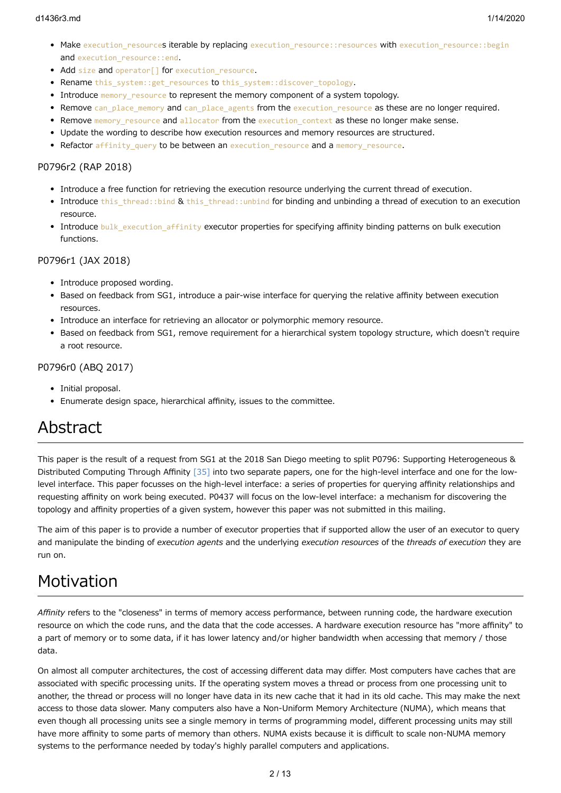#### d1436r3.md 1/14/2020

- Make execution resources iterable by replacing execution resource::resources with execution resource::begin and execution resource::end.
- Add size and operator<sup>[]</sup> for execution resource.
- Rename this system::get resources to this system::discover topology.
- Introduce memory resource to represent the memory component of a system topology.
- Remove can\_place\_memory and can\_place\_agents from the execution\_resource as these are no longer required.
- Remove memory resource and allocator from the execution context as these no longer make sense.
- Update the wording to describe how execution resources and memory resources are structured.
- Refactor affinity query to be between an execution resource and a memory resource.

## P0796r2 (RAP 2018)

- Introduce a free function for retrieving the execution resource underlying the current thread of execution.
- Introduce this thread::bind & this thread::unbind for binding and unbinding a thread of execution to an execution resource.
- Introduce bulk execution affinity executor properties for specifying affinity binding patterns on bulk execution functions.

#### P0796r1 (JAX 2018)

- Introduce proposed wording.
- Based on feedback from SG1, introduce a pair-wise interface for querying the relative affinity between execution resources.
- Introduce an interface for retrieving an allocator or polymorphic memory resource.
- Based on feedback from SG1, remove requirement for a hierarchical system topology structure, which doesn't require a root resource.

#### P0796r0 (ABQ 2017)

- Initial proposal.
- Enumerate design space, hierarchical affinity, issues to the committee.

# Abstract

This paper is the result of a request from SG1 at the 2018 San Diego meeting to split P0796: Supporting Heterogeneous & Distributed Computing Through Affinity [\[35\]](http://wg21.link/p0796) into two separate papers, one for the high-level interface and one for the lowlevel interface. This paper focusses on the high-level interface: a series of properties for querying affinity relationships and requesting affinity on work being executed. P0437 will focus on the low-level interface: a mechanism for discovering the topology and affinity properties of a given system, however this paper was not submitted in this mailing.

The aim of this paper is to provide a number of executor properties that if supported allow the user of an executor to query and manipulate the binding of *execution agents* and the underlying *execution resources* of the *threads of execution* they are run on.

# Motivation

*Affinity* refers to the "closeness" in terms of memory access performance, between running code, the hardware execution resource on which the code runs, and the data that the code accesses. A hardware execution resource has "more affinity" to a part of memory or to some data, if it has lower latency and/or higher bandwidth when accessing that memory / those data.

On almost all computer architectures, the cost of accessing different data may differ. Most computers have caches that are associated with specific processing units. If the operating system moves a thread or process from one processing unit to another, the thread or process will no longer have data in its new cache that it had in its old cache. This may make the next access to those data slower. Many computers also have a Non-Uniform Memory Architecture (NUMA), which means that even though all processing units see a single memory in terms of programming model, different processing units may still have more affinity to some parts of memory than others. NUMA exists because it is difficult to scale non-NUMA memory systems to the performance needed by today's highly parallel computers and applications.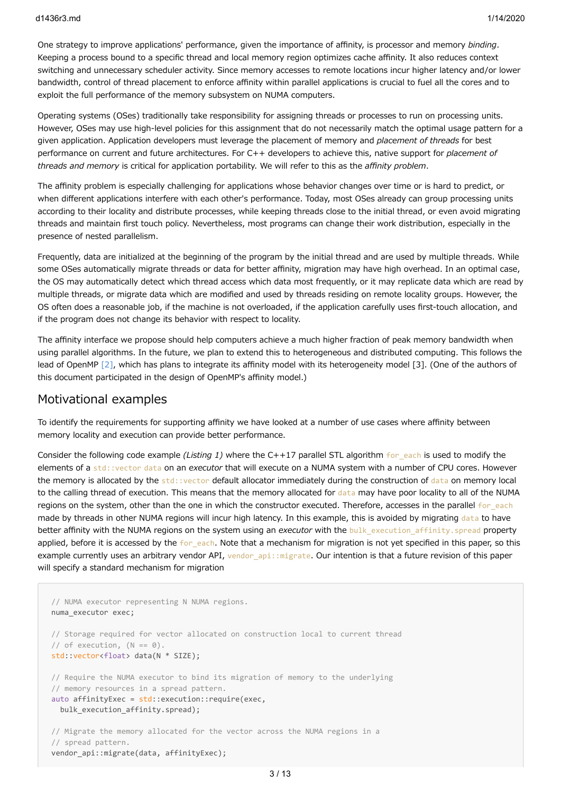One strategy to improve applications' performance, given the importance of affinity, is processor and memory *binding*. Keeping a process bound to a specific thread and local memory region optimizes cache affinity. It also reduces context switching and unnecessary scheduler activity. Since memory accesses to remote locations incur higher latency and/or lower bandwidth, control of thread placement to enforce affinity within parallel applications is crucial to fuel all the cores and to exploit the full performance of the memory subsystem on NUMA computers.

Operating systems (OSes) traditionally take responsibility for assigning threads or processes to run on processing units. However, OSes may use high-level policies for this assignment that do not necessarily match the optimal usage pattern for a given application. Application developers must leverage the placement of memory and *placement of threads* for best performance on current and future architectures. For C++ developers to achieve this, native support for *placement of threads and memory* is critical for application portability. We will refer to this as the *affinity problem*.

The affinity problem is especially challenging for applications whose behavior changes over time or is hard to predict, or when different applications interfere with each other's performance. Today, most OSes already can group processing units according to their locality and distribute processes, while keeping threads close to the initial thread, or even avoid migrating threads and maintain first touch policy. Nevertheless, most programs can change their work distribution, especially in the presence of nested parallelism.

Frequently, data are initialized at the beginning of the program by the initial thread and are used by multiple threads. While some OSes automatically migrate threads or data for better affinity, migration may have high overhead. In an optimal case, the OS may automatically detect which thread access which data most frequently, or it may replicate data which are read by multiple threads, or migrate data which are modified and used by threads residing on remote locality groups. However, the OS often does a reasonable job, if the machine is not overloaded, if the application carefully uses first-touch allocation, and if the program does not change its behavior with respect to locality.

The affinity interface we propose should help computers achieve a much higher fraction of peak memory bandwidth when using parallel algorithms. In the future, we plan to extend this to heterogeneous and distributed computing. This follows the lead of OpenMP [\[2\]](https://link.springer.com/chapter/10.1007/978-3-642-30961-8_2), which has plans to integrate its affinity model with its heterogeneity model [3]. (One of the authors of this document participated in the design of OpenMP's affinity model.)

## Motivational examples

To identify the requirements for supporting affinity we have looked at a number of use cases where affinity between memory locality and execution can provide better performance.

Consider the following code example *(Listing 1)* where the C++17 parallel STL algorithm for each is used to modify the elements of a std::vector data on an *executor* that will execute on a NUMA system with a number of CPU cores. However the memory is allocated by the std::vector default allocator immediately during the construction of data on memory local to the calling thread of execution. This means that the memory allocated for data may have poor locality to all of the NUMA regions on the system, other than the one in which the constructor executed. Therefore, accesses in the parallel for each made by threads in other NUMA regions will incur high latency. In this example, this is avoided by migrating data to have better affinity with the NUMA regions on the system using an *executor* with the bulk\_execution\_affinity.spread property applied, before it is accessed by the for each. Note that a mechanism for migration is not yet specified in this paper, so this example currently uses an arbitrary vendor API, vendor api::migrate. Our intention is that a future revision of this paper will specify a standard mechanism for migration

```
// NUMA executor representing N NUMA regions.
numa_executor exec;
// Storage required for vector allocated on construction local to current thread
// of execution, (N == 0).
std::vector<float> data(N * SIZE);
// Require the NUMA executor to bind its migration of memory to the underlying
// memory resources in a spread pattern.
auto affinityExec = std::execution::require(exec,
 bulk execution affinity.spread);
// Migrate the memory allocated for the vector across the NUMA regions in a
// spread pattern.
vendor api::migrate(data, affinityExec);
```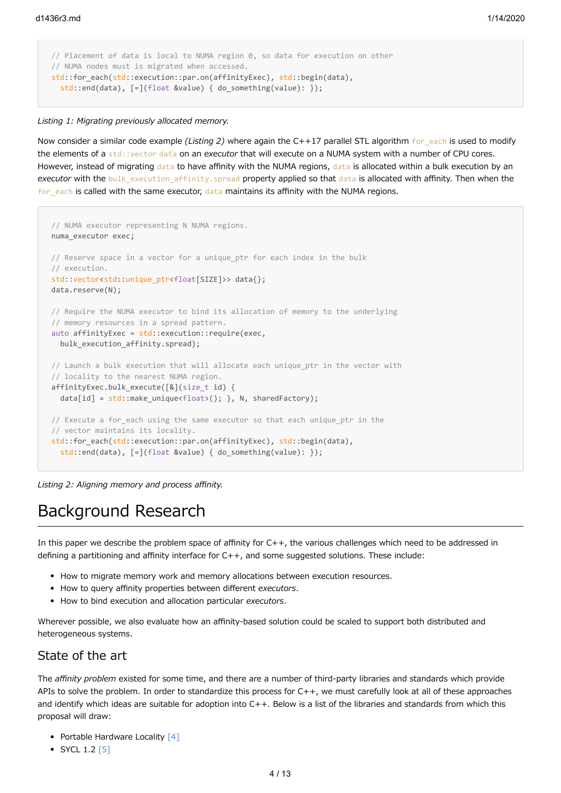```
// Placement of data is local to NUMA region 0, so data for execution on other
// NUMA nodes must is migrated when accessed.
std::for_each(std::execution::par.on(affinityExec), std::begin(data),
   std::end(data), [=](float &value) { do_something(value): });
```
#### *Listing 1: Migrating previously allocated memory.*

Now consider a similar code example *(Listing 2)* where again the C++17 parallel STL algorithm for each is used to modify the elements of a std::vector data on an *executor* that will execute on a NUMA system with a number of CPU cores. However, instead of migrating data to have affinity with the NUMA regions, data is allocated within a bulk execution by an *executor* with the bulk execution affinity.spread property applied so that data is allocated with affinity. Then when the for each is called with the same executor, data maintains its affinity with the NUMA regions.

```
// NUMA executor representing N NUMA regions.
numa_executor exec;
// Reserve space in a vector for a unique_ptr for each index in the bulk
// execution.
std::vector<std::unique_ptr<float[SIZE]>> data{};
data.reserve(N);
// Require the NUMA executor to bind its allocation of memory to the underlying
// memory resources in a spread pattern.
auto affinityExec = std::execution::require(exec,
  bulk_execution_affinity.spread);
// Launch a bulk execution that will allocate each unique_ptr in the vector with
// locality to the nearest NUMA region.
affinityExec.bulk execute([&](size t id) {
  data[id] = std::make_unique<float>(); }, N, sharedFactory);
// Execute a for each using the same executor so that each unique ptr in the
// vector maintains its locality.
std::for each(std::execution::par.on(affinityExec), std::begin(data),
   std::end(data), [=](float &value) { do_something(value): });
```
*Listing 2: Aligning memory and process affinity.*

# Background Research

In this paper we describe the problem space of affinity for C++, the various challenges which need to be addressed in defining a partitioning and affinity interface for C++, and some suggested solutions. These include:

- How to migrate memory work and memory allocations between execution resources.
- How to query affinity properties between different *executors*.
- How to bind execution and allocation particular *executors*.

Wherever possible, we also evaluate how an affinity-based solution could be scaled to support both distributed and heterogeneous systems.

# State of the art

The *affinity problem* existed for some time, and there are a number of third-party libraries and standards which provide APIs to solve the problem. In order to standardize this process for C++, we must carefully look at all of these approaches and identify which ideas are suitable for adoption into C++. Below is a list of the libraries and standards from which this proposal will draw:

- Portable Hardware Locality [\[4\]](https://www.open-mpi.org/projects/hwloc/)
- $\bullet$  SYCL 1.2 [\[5\]](https://www.khronos.org/registry/SYCL/specs/sycl-1.2.1.pdf)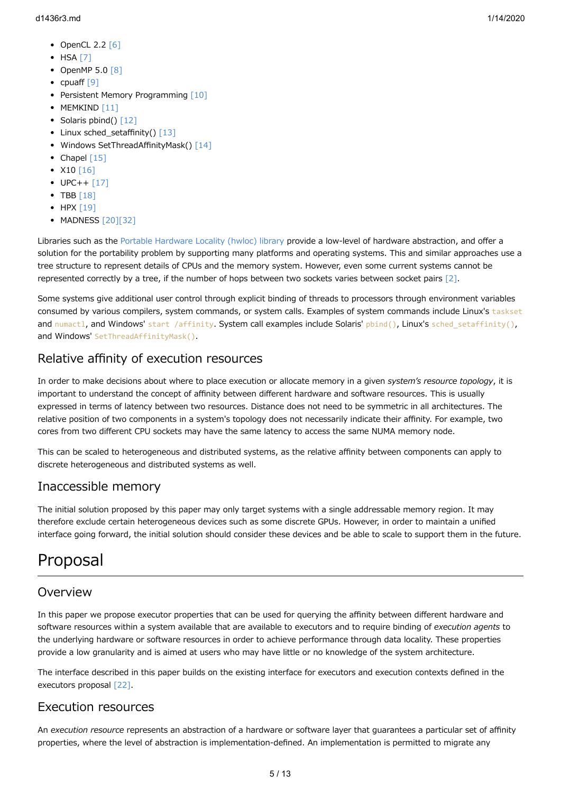- $\bullet$  OpenCL 2.2 [\[6\]](https://www.khronos.org/registry/OpenCL/specs/opencl-2.2.pdf)
- $·$  HSA [\[7\]](http://www.hsafoundation.com/standards/)
- OpenMP  $5.0$   $[8]$
- cpuaff  $[9]$
- Persistent Memory Programming [\[10\]](http://pmem.io/)
- $\bullet$  MEMKIND [\[11\]](https://github.com/memkind/memkind)
- $\bullet$  Solaris pbind() [\[12\]](https://docs.oracle.com/cd/E26502_01/html/E29031/pbind-1m.html)
- Linux sched setaffinity()  $[13]$
- Windows SetThreadAffinityMask() [\[14\]](https://msdn.microsoft.com/en-us/library/windows/desktop/ms686247(v=vs.85).aspx)
- Chapel  $[15]$
- $X10 [16]$  $X10 [16]$
- $\bullet$  UPC++ [\[17\]](https://bitbucket.org/berkeleylab/upcxx/wiki/Home)
- $\bullet$  TBB [\[18\]](https://www.threadingbuildingblocks.org/)
- $\bullet$  HPX [\[19\]](https://github.com/STEllAR-GROUP/hpx)
- MADNESS [\[20\]](https://github.com/m-a-d-n-e-s-s/madness)[\[32\]](http://dx.doi.org/10.1137/15M1026171)

Libraries such as the [Portable Hardware Locality \(hwloc\) library](https://www.open-mpi.org/projects/hwloc/) provide a low-level of hardware abstraction, and offer a solution for the portability problem by supporting many platforms and operating systems. This and similar approaches use a tree structure to represent details of CPUs and the memory system. However, even some current systems cannot be represented correctly by a tree, if the number of hops between two sockets varies between socket pairs  $[2]$ .

Some systems give additional user control through explicit binding of threads to processors through environment variables consumed by various compilers, system commands, or system calls. Examples of system commands include Linux's taskset and numactl, and Windows' start /affinity. System call examples include Solaris' pbind(), Linux's sched\_setaffinity(), and Windows' SetThreadAffinityMask().

# Relative affinity of execution resources

In order to make decisions about where to place execution or allocate memory in a given *system's resource topology*, it is important to understand the concept of affinity between different hardware and software resources. This is usually expressed in terms of latency between two resources. Distance does not need to be symmetric in all architectures. The relative position of two components in a system's topology does not necessarily indicate their affinity. For example, two cores from two different CPU sockets may have the same latency to access the same NUMA memory node.

This can be scaled to heterogeneous and distributed systems, as the relative affinity between components can apply to discrete heterogeneous and distributed systems as well.

# Inaccessible memory

The initial solution proposed by this paper may only target systems with a single addressable memory region. It may therefore exclude certain heterogeneous devices such as some discrete GPUs. However, in order to maintain a unified interface going forward, the initial solution should consider these devices and be able to scale to support them in the future.

# Proposal

# Overview

In this paper we propose executor properties that can be used for querying the affinity between different hardware and software resources within a system available that are available to executors and to require binding of *execution agents* to the underlying hardware or software resources in order to achieve performance through data locality. These properties provide a low granularity and is aimed at users who may have little or no knowledge of the system architecture.

The interface described in this paper builds on the existing interface for executors and execution contexts defined in the executors proposal [\[22\].](http://wg21.link/p0443)

# Execution resources

An *execution resource* represents an abstraction of a hardware or software layer that guarantees a particular set of affinity properties, where the level of abstraction is implementation-defined. An implementation is permitted to migrate any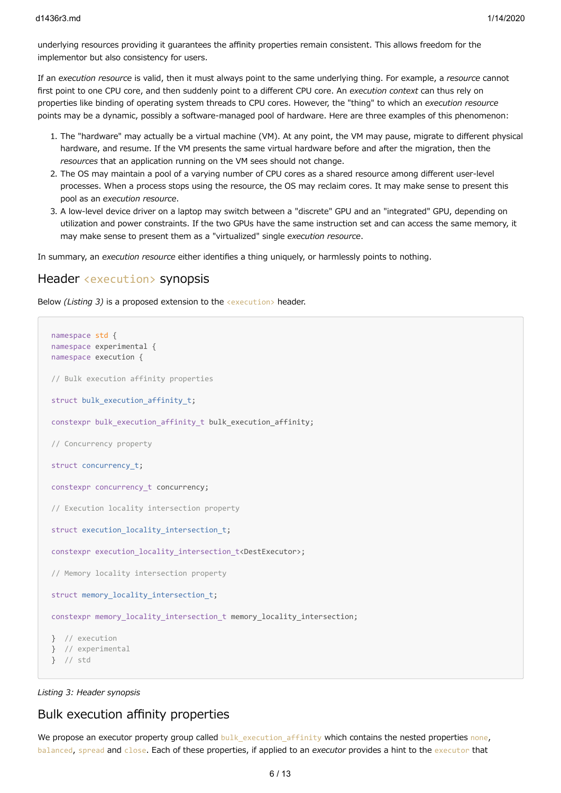underlying resources providing it guarantees the affinity properties remain consistent. This allows freedom for the implementor but also consistency for users.

If an *execution resource* is valid, then it must always point to the same underlying thing. For example, a *resource* cannot first point to one CPU core, and then suddenly point to a different CPU core. An *execution context* can thus rely on properties like binding of operating system threads to CPU cores. However, the "thing" to which an *execution resource* points may be a dynamic, possibly a software-managed pool of hardware. Here are three examples of this phenomenon:

- 1. The "hardware" may actually be a virtual machine (VM). At any point, the VM may pause, migrate to different physical hardware, and resume. If the VM presents the same virtual hardware before and after the migration, then the *resources* that an application running on the VM sees should not change.
- 2. The OS may maintain a pool of a varying number of CPU cores as a shared resource among different user-level processes. When a process stops using the resource, the OS may reclaim cores. It may make sense to present this pool as an *execution resource*.
- 3. A low-level device driver on a laptop may switch between a "discrete" GPU and an "integrated" GPU, depending on utilization and power constraints. If the two GPUs have the same instruction set and can access the same memory, it may make sense to present them as a "virtualized" single *execution resource*.

In summary, an *execution resource* either identifies a thing uniquely, or harmlessly points to nothing.

## Header <execution> synopsis

Below *(Listing 3)* is a proposed extension to the <execution> header.

```
namespace std {
namespace experimental {
namespace execution {
// Bulk execution affinity properties
struct bulk execution affinity t;
constexpr bulk execution affinity t bulk execution affinity;
// Concurrency property
struct concurrency_t;
constexpr concurrency t concurrency;
// Execution locality intersection property
struct execution_locality_intersection_t;
constexpr execution locality intersection t<DestExecutor>;
// Memory locality intersection property
struct memory locality intersection t;
constexpr memory locality intersection t memory locality intersection;
} // execution
} // experimental
} // std
```
*Listing 3: Header synopsis*

# Bulk execution affinity properties

We propose an executor property group called bulk execution affinity which contains the nested properties none, balanced, spread and close. Each of these properties, if applied to an *executor* provides a hint to the executor that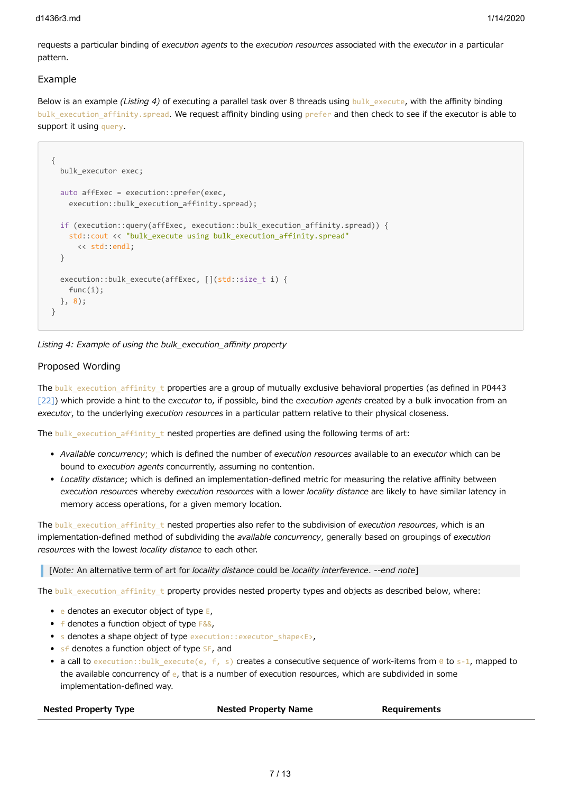#### d1436r3.md 1/14/2020

requests a particular binding of *execution agents* to the *execution resources* associated with the *executor* in a particular pattern.

#### Example

Below is an example *(Listing 4)* of executing a parallel task over 8 threads using bulk execute, with the affinity binding bulk\_execution\_affinity.spread. We request affinity binding using prefer and then check to see if the executor is able to support it using query.

```
{
  bulk executor exec;
   auto affExec = execution::prefer(exec,
   execution::bulk execution affinity.spread);
   if (execution::query(affExec, execution::bulk_execution_affinity.spread)) {
    std::cout << "bulk execute using bulk execution affinity.spread"
       << std::endl;
   }
  execution::bulk execute(affExec, [](std::size t i) {
     func(i);
   }, 8);
}
```
*Listing 4: Example of using the bulk\_execution\_affinity property*

#### Proposed Wording

The bulk execution affinity t properties are a group of mutually exclusive behavioral properties (as defined in P0443 [\[22\]](http://wg21.link/p0443)) which provide a hint to the *executor* to, if possible, bind the *execution agents* created by a bulk invocation from an *executor*, to the underlying *execution resources* in a particular pattern relative to their physical closeness.

The bulk\_execution\_affinity\_t nested properties are defined using the following terms of art:

- *Available concurrency*; which is defined the number of *execution resources* available to an *executor* which can be bound to *execution agents* concurrently, assuming no contention.
- *Locality distance*; which is defined an implementation-defined metric for measuring the relative affinity between *execution resources* whereby *execution resources* with a lower *locality distance* are likely to have similar latency in memory access operations, for a given memory location.

The bulk execution affinity t nested properties also refer to the subdivision of *execution resources*, which is an implementation-defined method of subdividing the *available concurrency*, generally based on groupings of *execution resources* with the lowest *locality distance* to each other.

[*Note:* An alternative term of art for *locality distance* could be *locality interference*. *--end note*]

The bulk\_execution\_affinity\_t property provides nested property types and objects as described below, where:

- $\bullet$  e denotes an executor object of type  $E_1$
- $\bullet$  f denotes a function object of type  $F&&&&&\text{.}$
- s denotes a shape object of type execution::executor\_shape<E>,
- $\bullet$  sf denotes a function object of type  $SF$ , and
- a call to execution::bulk\_execute(e, f, s) creates a consecutive sequence of work-items from 0 to s-1, mapped to the available concurrency of  $e$ , that is a number of execution resources, which are subdivided in some implementation-defined way.

| <b>Nested Property Type</b> | <b>Nested Property Name</b> | Requirements |
|-----------------------------|-----------------------------|--------------|
|                             |                             |              |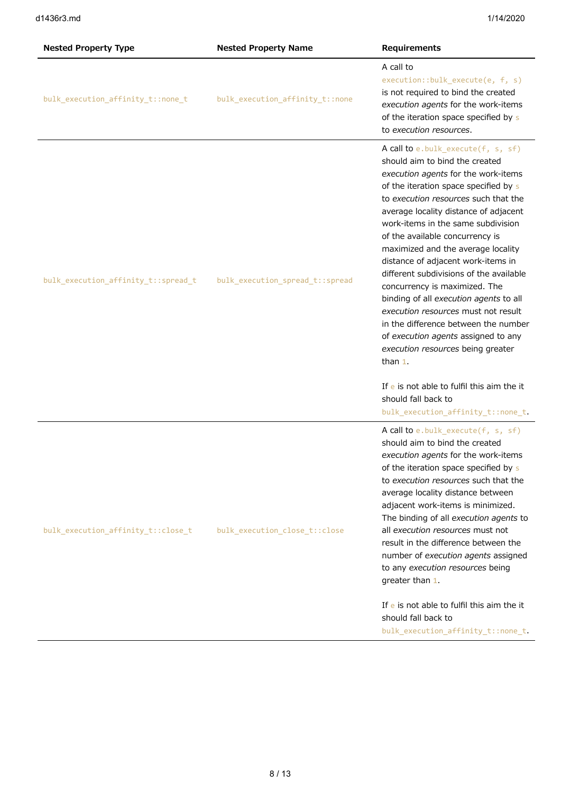| <b>Nested Property Type</b>         | <b>Nested Property Name</b>     | Requirements                                                                                                                                                                                                                                                                                                                                                                                                                                                                                                                                                                                                                                                                                                                                                   |
|-------------------------------------|---------------------------------|----------------------------------------------------------------------------------------------------------------------------------------------------------------------------------------------------------------------------------------------------------------------------------------------------------------------------------------------------------------------------------------------------------------------------------------------------------------------------------------------------------------------------------------------------------------------------------------------------------------------------------------------------------------------------------------------------------------------------------------------------------------|
| bulk_execution_affinity_t::none_t   | bulk execution affinity t::none | A call to<br>execution::bulk_execute(e, f, s)<br>is not required to bind the created<br>execution agents for the work-items<br>of the iteration space specified by s<br>to execution resources.                                                                                                                                                                                                                                                                                                                                                                                                                                                                                                                                                                |
| bulk_execution_affinity_t::spread_t | bulk_execution_spread_t::spread | A call to e.bulk_execute(f, s, sf)<br>should aim to bind the created<br>execution agents for the work-items<br>of the iteration space specified by s<br>to execution resources such that the<br>average locality distance of adjacent<br>work-items in the same subdivision<br>of the available concurrency is<br>maximized and the average locality<br>distance of adjacent work-items in<br>different subdivisions of the available<br>concurrency is maximized. The<br>binding of all execution agents to all<br>execution resources must not result<br>in the difference between the number<br>of execution agents assigned to any<br>execution resources being greater<br>than $1$ .<br>If e is not able to fulfil this aim the it<br>should fall back to |
|                                     |                                 | bulk_execution_affinity_t::none_t                                                                                                                                                                                                                                                                                                                                                                                                                                                                                                                                                                                                                                                                                                                              |
| bulk_execution_affinity_t::close_t  | bulk_execution_close_t::close   | A call to e.bulk_execute(f, s, sf)<br>should aim to bind the created<br>execution agents for the work-items<br>of the iteration space specified by s<br>to execution resources such that the<br>average locality distance between<br>adjacent work-items is minimized.<br>The binding of all execution agents to<br>all execution resources must not<br>result in the difference between the<br>number of execution agents assigned<br>to any execution resources being<br>greater than 1.                                                                                                                                                                                                                                                                     |
|                                     |                                 | If e is not able to fulfil this aim the it<br>should fall back to<br>bulk_execution_affinity_t::none_t.                                                                                                                                                                                                                                                                                                                                                                                                                                                                                                                                                                                                                                                        |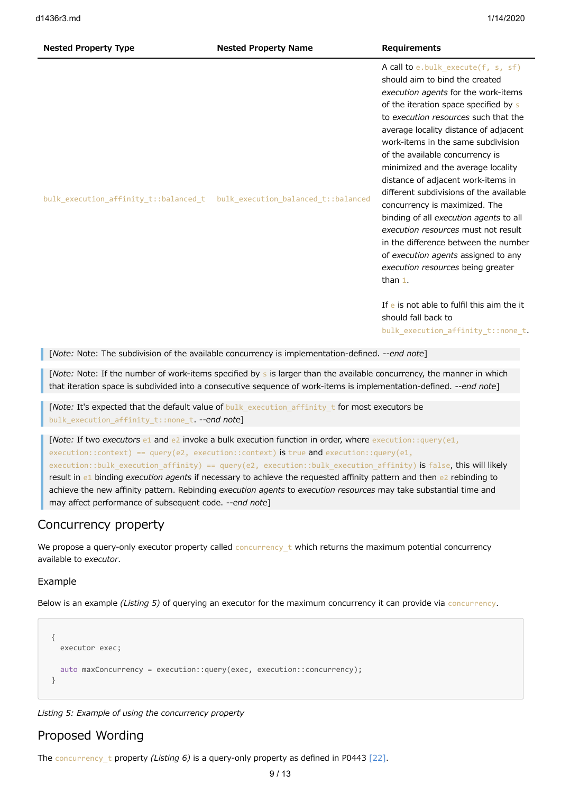#### **Nested Property Type Nested Property Name Requirements**

A call to e.bulk\_execute(f, s, sf) should aim to bind the created *execution agents* for the work-items of the iteration space specified by s to *execution resources* such that the average locality distance of adjacent work-items in the same subdivision of the available concurrency is minimized and the average locality distance of adjacent work-items in different subdivisions of the available concurrency is maximized. The binding of all *execution agents* to all *execution resources* must not result in the difference between the number of *execution agents* assigned to any *execution resources* being greater than 1.

If e is not able to fulfil this aim the it should fall back to bulk execution affinity t::none t.

[*Note:* Note: The subdivision of the available concurrency is implementation-defined. *--end note*]

bulk\_execution\_affinity\_t::balanced\_t bulk\_execution\_balanced\_t::balanced

[*Note:* Note: If the number of work-items specified by s is larger than the available concurrency, the manner in which that iteration space is subdivided into a consecutive sequence of work-items is implementation-defined. *--end note*]

[*Note:* It's expected that the default value of bulk\_execution\_affinity\_t for most executors be bulk execution affinity t::none t. --end note]

[*Note:* If two *executors* e1 and e2 invoke a bulk execution function in order, where execution::query(e1,  $execution::context) == query(e2, execution::context)$  is true and execution:: $query(e1,$ execution::bulk\_execution\_affinity) == query(e2, execution::bulk\_execution\_affinity) is false, this will likely result in e1 binding *execution agents* if necessary to achieve the requested affinity pattern and then e2 rebinding to achieve the new affinity pattern. Rebinding *execution agents* to *execution resources* may take substantial time and may affect performance of subsequent code. *--end note*]

# Concurrency property

We propose a query-only executor property called concurrency\_t which returns the maximum potential concurrency available to *executor*.

## Example

Below is an example *(Listing 5)* of querying an executor for the maximum concurrency it can provide via concurrency.

```
{
   executor exec;
   auto maxConcurrency = execution::query(exec, execution::concurrency);
}
```
*Listing 5: Example of using the concurrency property*

## Proposed Wording

The concurrency\_t property *(Listing 6)* is a query-only property as defined in P0443 [\[22\].](http://wg21.link/p0443)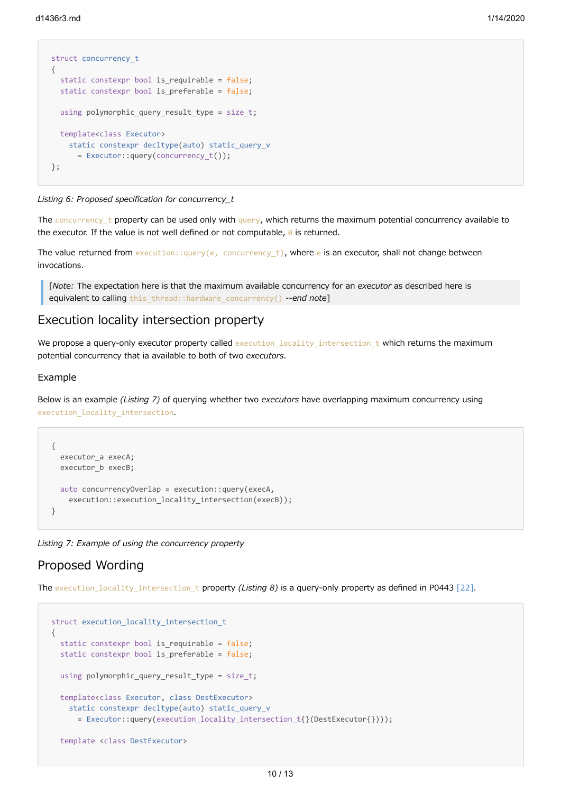```
struct concurrency_t
{
  static constexpr bool is requirable = false:
   static constexpr bool is_preferable = false;
 using polymorphic query result type = size t;
  template<class Executor>
    static constexpr decltype(auto) static query v
       = Executor::query(concurrency_t());
};
```
*Listing 6: Proposed specification for concurrency\_t*

The concurrency t property can be used only with query, which returns the maximum potential concurrency available to the executor. If the value is not well defined or not computable,  $\theta$  is returned.

The value returned from execution::query(e, concurrency\_t), where e is an executor, shall not change between invocations.

[*Note:* The expectation here is that the maximum available concurrency for an *executor* as described here is equivalent to calling this\_thread::hardware\_concurrency() *--end note*]

# Execution locality intersection property

We propose a query-only executor property called execution locality intersection t which returns the maximum potential concurrency that ia available to both of two *executors*.

#### Example

Below is an example *(Listing 7)* of querying whether two *executors* have overlapping maximum concurrency using execution locality intersection.

```
{
   executor_a execA;
   executor_b execB;
   auto concurrencyOverlap = execution::query(execA,
    execution::execution locality intersection(execB));
}
```
*Listing 7: Example of using the concurrency property*

# Proposed Wording

The execution\_locality\_intersection\_t property *(Listing 8)* is a query-only property as defined in P0443 [\[22\].](http://wg21.link/p0443)

```
struct execution locality intersection t
{
   static constexpr bool is_requirable = false;
   static constexpr bool is_preferable = false;
 using polymorphic query result type = size t;
   template<class Executor, class DestExecutor>
     static constexpr decltype(auto) static_query_v
      = Executor::query(execution locality intersection t{\(DestExecutor{})));
   template <class DestExecutor>
```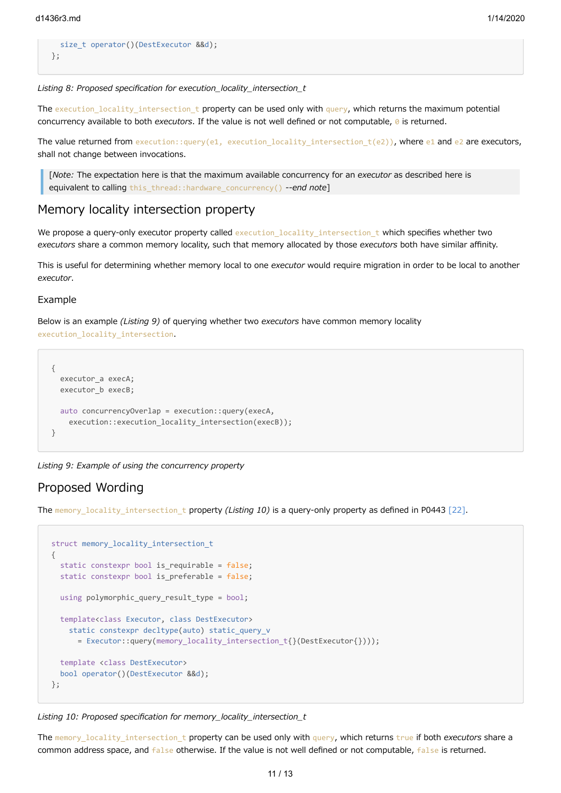```
size t operator()(DestExecutor &&d);
};
```
*Listing 8: Proposed specification for execution\_locality\_intersection\_t*

The execution locality intersection t property can be used only with query, which returns the maximum potential concurrency available to both *executors*. If the value is not well defined or not computable, 0 is returned.

The value returned from execution::query(e1, execution locality intersection  $t(e2)$ ), where e1 and e2 are executors, shall not change between invocations.

[*Note:* The expectation here is that the maximum available concurrency for an *executor* as described here is equivalent to calling this\_thread::hardware\_concurrency() *--end note*]

## Memory locality intersection property

We propose a query-only executor property called execution\_locality\_intersection\_t which specifies whether two *executors* share a common memory locality, such that memory allocated by those *executors* both have similar affinity.

This is useful for determining whether memory local to one *executor* would require migration in order to be local to another *executor*.

#### Example

Below is an example *(Listing 9)* of querying whether two *executors* have common memory locality execution locality intersection.

```
{
   executor_a execA;
   executor_b execB;
   auto concurrencyOverlap = execution::query(execA,
    execution::execution locality intersection(execB));
}
```
*Listing 9: Example of using the concurrency property*

# Proposed Wording

The memory locality intersection t property *(Listing 10)* is a query-only property as defined in P0443 [\[22\]](http://wg21.link/p0443).

```
struct memory_locality_intersection_t
{
  static constexpr bool is requirable = false;
   static constexpr bool is_preferable = false;
 using polymorphic query result type = bool;
   template<class Executor, class DestExecutor>
     static constexpr decltype(auto) static_query_v
       = Executor::query(memory_locality_intersection_t{}(DestExecutor{})));
   template <class DestExecutor>
   bool operator()(DestExecutor &&d);
};
```
*Listing 10: Proposed specification for memory\_locality\_intersection\_t*

The memory\_locality\_intersection\_t property can be used only with query, which returns true if both *executors* share a common address space, and false otherwise. If the value is not well defined or not computable, false is returned.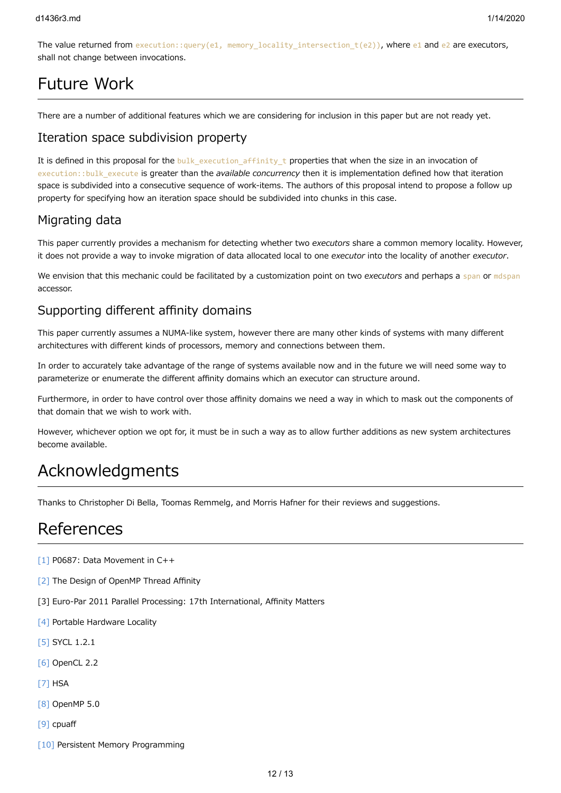The value returned from execution::query(e1, memory\_locality\_intersection\_t(e2)), where e1 and e2 are executors, shall not change between invocations.

# Future Work

There are a number of additional features which we are considering for inclusion in this paper but are not ready yet.

# Iteration space subdivision property

It is defined in this proposal for the bulk execution affinity t properties that when the size in an invocation of execution::bulk\_execute is greater than the *available concurrency* then it is implementation defined how that iteration space is subdivided into a consecutive sequence of work-items. The authors of this proposal intend to propose a follow up property for specifying how an iteration space should be subdivided into chunks in this case.

# Migrating data

This paper currently provides a mechanism for detecting whether two *executors* share a common memory locality. However, it does not provide a way to invoke migration of data allocated local to one *executor* into the locality of another *executor*.

We envision that this mechanic could be facilitated by a customization point on two executors and perhaps a span or mdspan accessor.

# Supporting different affinity domains

This paper currently assumes a NUMA-like system, however there are many other kinds of systems with many different architectures with different kinds of processors, memory and connections between them.

In order to accurately take advantage of the range of systems available now and in the future we will need some way to parameterize or enumerate the different affinity domains which an executor can structure around.

Furthermore, in order to have control over those affinity domains we need a way in which to mask out the components of that domain that we wish to work with.

However, whichever option we opt for, it must be in such a way as to allow further additions as new system architectures become available.

# Acknowledgments

Thanks to Christopher Di Bella, Toomas Remmelg, and Morris Hafner for their reviews and suggestions.

# References

- [\[1\]](http://wg21.link/p0687) P0687: Data Movement in C++
- [\[2\]](https://link.springer.com/chapter/10.1007/978-3-642-30961-8_2) The Design of OpenMP Thread Affinity
- [3] Euro-Par 2011 Parallel Processing: 17th International, Affinity Matters
- [\[4\]](https://www.open-mpi.org/projects/hwloc/) Portable Hardware Locality
- [\[5\]](https://www.khronos.org/registry/SYCL/specs/sycl-1.2.1.pdf) SYCL 1.2.1
- [\[6\]](https://www.khronos.org/registry/OpenCL/specs/opencl-2.2.pdf) OpenCL 2.2
- [\[7\]](http://www.hsafoundation.com/standards/) HSA
- [\[8\]](http://www.openmp.org/wp-content/uploads/openmp-TR5-final.pdf) OpenMP 5.0
- [\[9\]](https://github.com/dcdillon/cpuaff) cpuaff
- [\[10\]](http://pmem.io/) Persistent Memory Programming